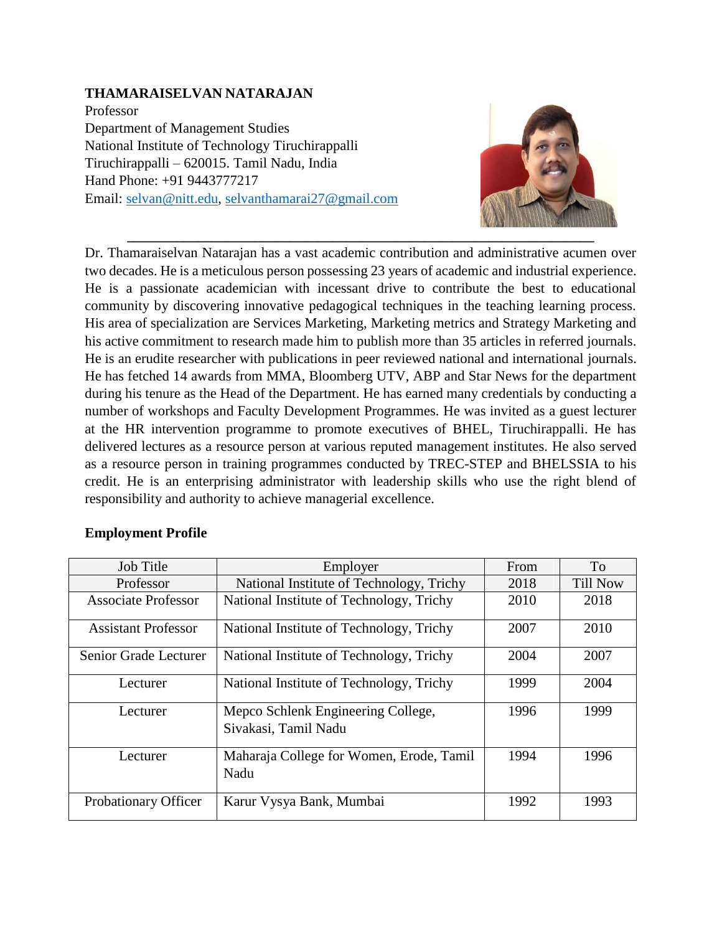#### **THAMARAISELVAN NATARAJAN**

Professor Department of Management Studies National Institute of Technology Tiruchirappalli Tiruchirappalli – 620015. Tamil Nadu, India Hand Phone: +91 9443777217 Email: [selvan@nitt.edu,](mailto:selvan@nitt.edu) [selvanthamarai27@gmail.com](mailto:selvanthamarai27@gmail.com)



Dr. Thamaraiselvan Natarajan has a vast academic contribution and administrative acumen over two decades. He is a meticulous person possessing 23 years of academic and industrial experience. He is a passionate academician with incessant drive to contribute the best to educational community by discovering innovative pedagogical techniques in the teaching learning process. His area of specialization are Services Marketing, Marketing metrics and Strategy Marketing and his active commitment to research made him to publish more than 35 articles in referred journals. He is an erudite researcher with publications in peer reviewed national and international journals. He has fetched 14 awards from MMA, Bloomberg UTV, ABP and Star News for the department during his tenure as the Head of the Department. He has earned many credentials by conducting a number of workshops and Faculty Development Programmes. He was invited as a guest lecturer at the HR intervention programme to promote executives of BHEL, Tiruchirappalli. He has delivered lectures as a resource person at various reputed management institutes. He also served as a resource person in training programmes conducted by TREC-STEP and BHELSSIA to his credit. He is an enterprising administrator with leadership skills who use the right blend of responsibility and authority to achieve managerial excellence.

| <b>Job Title</b>           | Employer                                                   | From | To              |
|----------------------------|------------------------------------------------------------|------|-----------------|
| Professor                  | National Institute of Technology, Trichy                   | 2018 | <b>Till Now</b> |
| <b>Associate Professor</b> | National Institute of Technology, Trichy                   | 2010 | 2018            |
| <b>Assistant Professor</b> | National Institute of Technology, Trichy                   | 2007 | 2010            |
| Senior Grade Lecturer      | National Institute of Technology, Trichy                   | 2004 | 2007            |
| Lecturer                   | National Institute of Technology, Trichy                   | 1999 | 2004            |
| Lecturer                   | Mepco Schlenk Engineering College,<br>Sivakasi, Tamil Nadu | 1996 | 1999            |
| Lecturer                   | Maharaja College for Women, Erode, Tamil<br>Nadu           | 1994 | 1996            |
| Probationary Officer       | Karur Vysya Bank, Mumbai                                   | 1992 | 1993            |

#### **Employment Profile**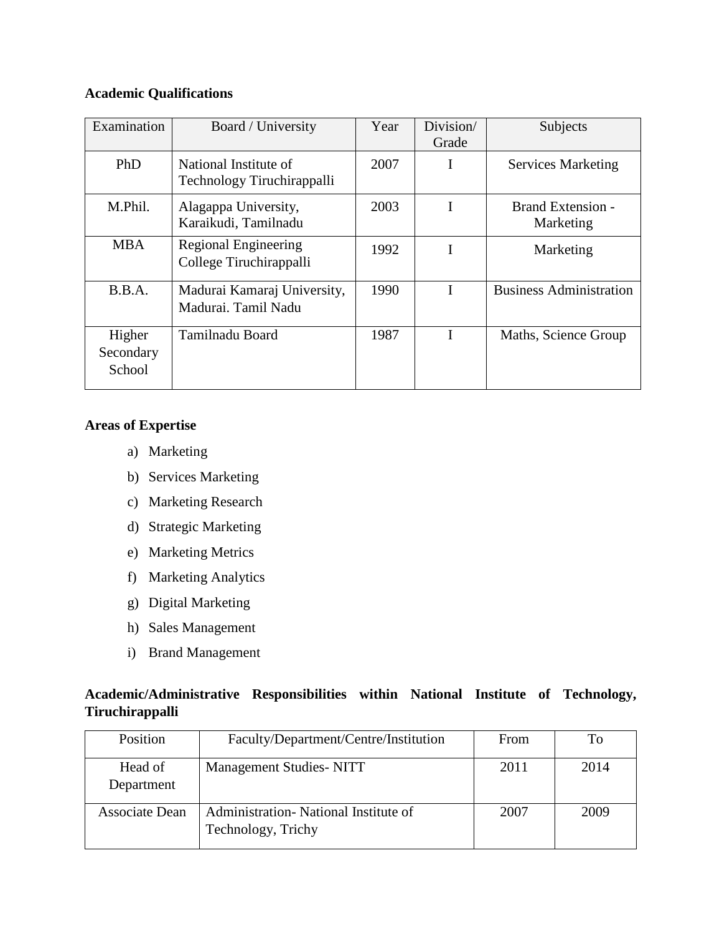### **Academic Qualifications**

| Examination                   | Board / University                                  | Year | Division/<br>Grade | Subjects                              |
|-------------------------------|-----------------------------------------------------|------|--------------------|---------------------------------------|
| PhD                           | National Institute of<br>Technology Tiruchirappalli | 2007 | I                  | <b>Services Marketing</b>             |
| M.Phil.                       | Alagappa University,<br>Karaikudi, Tamilnadu        | 2003 | I                  | <b>Brand Extension -</b><br>Marketing |
| <b>MBA</b>                    | Regional Engineering<br>College Tiruchirappalli     | 1992 |                    | Marketing                             |
| B.B.A.                        | Madurai Kamaraj University,<br>Madurai. Tamil Nadu  | 1990 |                    | <b>Business Administration</b>        |
| Higher<br>Secondary<br>School | Tamilnadu Board                                     | 1987 |                    | Maths, Science Group                  |

#### **Areas of Expertise**

- a) Marketing
- b) Services Marketing
- c) Marketing Research
- d) Strategic Marketing
- e) Marketing Metrics
- f) Marketing Analytics
- g) Digital Marketing
- h) Sales Management
- i) Brand Management

#### **Academic/Administrative Responsibilities within National Institute of Technology, Tiruchirappalli**

| Position              | Faculty/Department/Centre/Institution                      | From | Tо   |
|-----------------------|------------------------------------------------------------|------|------|
| Head of<br>Department | <b>Management Studies- NITT</b>                            | 2011 | 2014 |
| Associate Dean        | Administration-National Institute of<br>Technology, Trichy | 2007 | 2009 |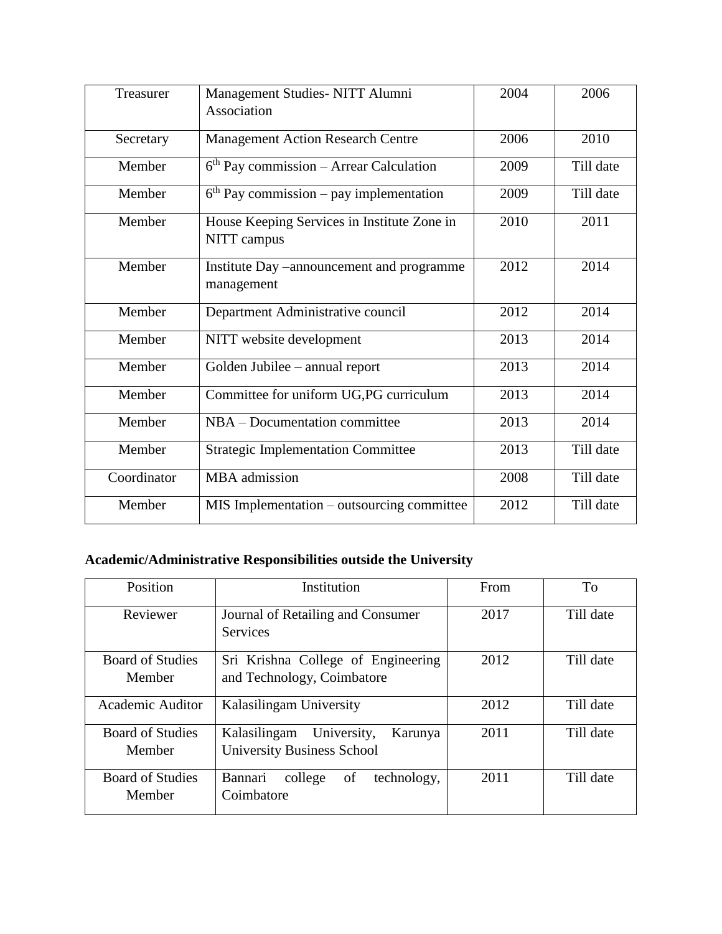| Treasurer   | Management Studies- NITT Alumni                            | 2004 | 2006      |
|-------------|------------------------------------------------------------|------|-----------|
|             | Association                                                |      |           |
| Secretary   | <b>Management Action Research Centre</b>                   | 2006 | 2010      |
| Member      | $6th Pay commission - Arrear Calculation$                  | 2009 | Till date |
| Member      | $\overline{6^{th}}$ Pay commission – pay implementation    | 2009 | Till date |
| Member      | House Keeping Services in Institute Zone in<br>NITT campus | 2010 | 2011      |
| Member      | Institute Day -announcement and programme<br>management    | 2012 | 2014      |
| Member      | Department Administrative council                          | 2012 | 2014      |
| Member      | NITT website development                                   | 2013 | 2014      |
| Member      | Golden Jubilee - annual report                             | 2013 | 2014      |
| Member      | Committee for uniform UG,PG curriculum                     | 2013 | 2014      |
| Member      | NBA – Documentation committee                              | 2013 | 2014      |
| Member      | <b>Strategic Implementation Committee</b>                  | 2013 | Till date |
| Coordinator | <b>MBA</b> admission                                       | 2008 | Till date |
| Member      | MIS Implementation - outsourcing committee                 | 2012 | Till date |

# **Academic/Administrative Responsibilities outside the University**

| Position                          | Institution                                                              | From | To        |
|-----------------------------------|--------------------------------------------------------------------------|------|-----------|
| Reviewer                          | Journal of Retailing and Consumer<br><b>Services</b>                     | 2017 | Till date |
| <b>Board of Studies</b><br>Member | Sri Krishna College of Engineering<br>and Technology, Coimbatore         | 2012 | Till date |
| Academic Auditor                  | Kalasilingam University                                                  | 2012 | Till date |
| <b>Board of Studies</b><br>Member | Kalasilingam University,<br>Karunya<br><b>University Business School</b> | 2011 | Till date |
| <b>Board of Studies</b><br>Member | technology,<br>college<br>of<br>Bannari<br>Coimbatore                    | 2011 | Till date |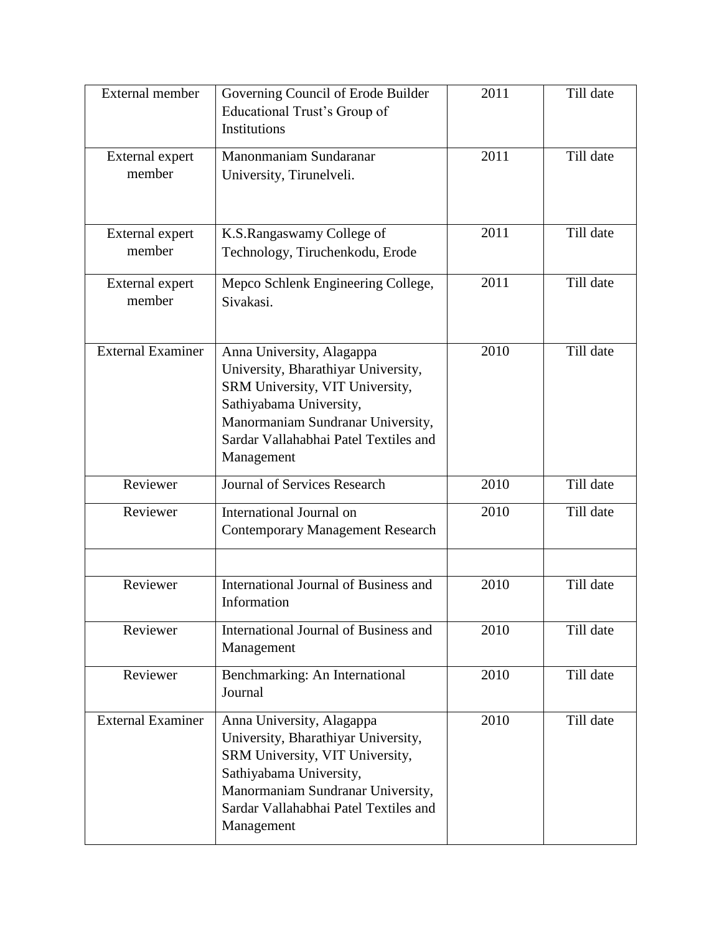| External member<br>Governing Council of Erode Builder<br>Educational Trust's Group of<br><b>Institutions</b> |                                                                                                                                                                                                                            | 2011 | Till date |
|--------------------------------------------------------------------------------------------------------------|----------------------------------------------------------------------------------------------------------------------------------------------------------------------------------------------------------------------------|------|-----------|
| External expert<br>member                                                                                    | Manonmaniam Sundaranar<br>University, Tirunelveli.                                                                                                                                                                         | 2011 | Till date |
| External expert<br>member                                                                                    | K.S.Rangaswamy College of<br>Technology, Tiruchenkodu, Erode                                                                                                                                                               | 2011 | Till date |
| External expert<br>member                                                                                    | Mepco Schlenk Engineering College,<br>Sivakasi.                                                                                                                                                                            | 2011 | Till date |
| <b>External Examiner</b>                                                                                     | Anna University, Alagappa<br>University, Bharathiyar University,<br>SRM University, VIT University,<br>Sathiyabama University,<br>Manormaniam Sundranar University,<br>Sardar Vallahabhai Patel Textiles and<br>Management | 2010 | Till date |
| Reviewer                                                                                                     | <b>Journal of Services Research</b>                                                                                                                                                                                        | 2010 | Till date |
| Reviewer                                                                                                     | International Journal on<br><b>Contemporary Management Research</b>                                                                                                                                                        | 2010 | Till date |
| Reviewer                                                                                                     | International Journal of Business and<br>Information                                                                                                                                                                       | 2010 | Till date |
| Reviewer                                                                                                     | International Journal of Business and<br>Management                                                                                                                                                                        | 2010 | Till date |
| Reviewer                                                                                                     | Benchmarking: An International<br>Journal                                                                                                                                                                                  | 2010 | Till date |
| <b>External Examiner</b>                                                                                     | Anna University, Alagappa<br>University, Bharathiyar University,<br>SRM University, VIT University,<br>Sathiyabama University,<br>Manormaniam Sundranar University,<br>Sardar Vallahabhai Patel Textiles and<br>Management | 2010 | Till date |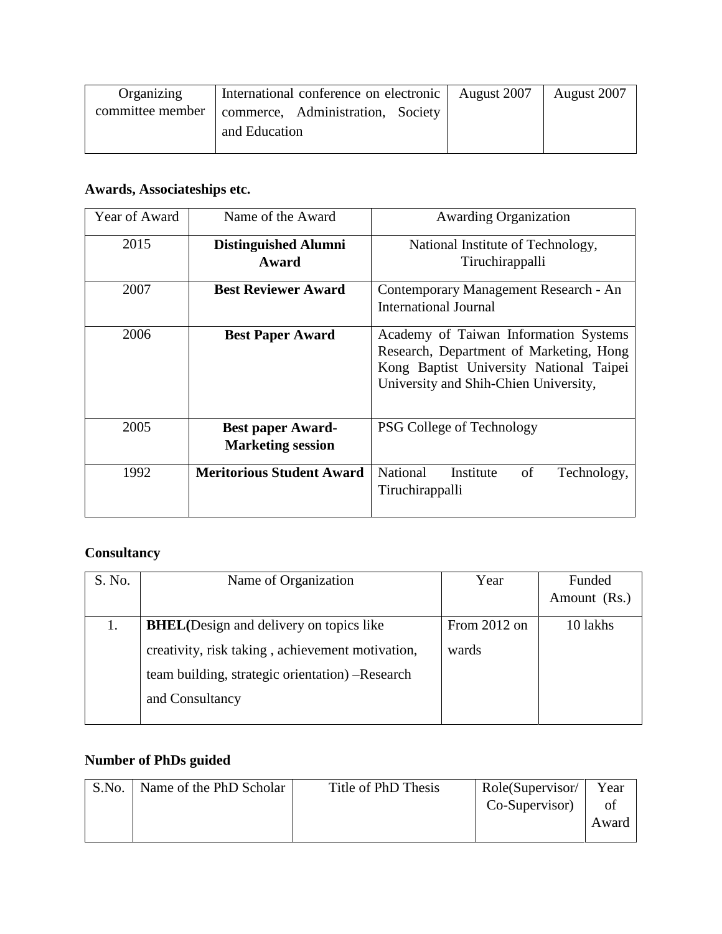| Organizing       | International conference on electronic | August 2007 | August 2007 |
|------------------|----------------------------------------|-------------|-------------|
| committee member | commerce, Administration, Society      |             |             |
|                  | and Education                          |             |             |
|                  |                                        |             |             |

## **Awards, Associateships etc.**

| Year of Award | Name of the Award                | <b>Awarding Organization</b>                      |  |
|---------------|----------------------------------|---------------------------------------------------|--|
| 2015          | <b>Distinguished Alumni</b>      | National Institute of Technology,                 |  |
|               | Award                            | Tiruchirappalli                                   |  |
| 2007          | <b>Best Reviewer Award</b>       | Contemporary Management Research - An             |  |
|               |                                  | International Journal                             |  |
| 2006          | <b>Best Paper Award</b>          | Academy of Taiwan Information Systems             |  |
|               |                                  | Research, Department of Marketing, Hong           |  |
|               |                                  | Kong Baptist University National Taipei           |  |
|               |                                  | University and Shih-Chien University,             |  |
|               |                                  |                                                   |  |
| 2005          | <b>Best paper Award-</b>         | PSG College of Technology                         |  |
|               | <b>Marketing session</b>         |                                                   |  |
| 1992          | <b>Meritorious Student Award</b> | <b>National</b><br>Institute<br>of<br>Technology, |  |
|               |                                  | Tiruchirappalli                                   |  |
|               |                                  |                                                   |  |

# **Consultancy**

| S. No. | Name of Organization                             | Year           | Funded       |
|--------|--------------------------------------------------|----------------|--------------|
|        |                                                  |                | Amount (Rs.) |
|        | <b>BHEL</b> (Design and delivery on topics like  | From $2012$ on | 10 lakhs     |
|        | creativity, risk taking, achievement motivation, | wards          |              |
|        | team building, strategic orientation) -Research  |                |              |
|        | and Consultancy                                  |                |              |
|        |                                                  |                |              |

# **Number of PhDs guided**

| S.No. | Name of the PhD Scholar | Title of PhD Thesis | Role(Supervisor/ | Year  |
|-------|-------------------------|---------------------|------------------|-------|
|       |                         |                     | Co-Supervisor)   |       |
|       |                         |                     |                  | Award |
|       |                         |                     |                  |       |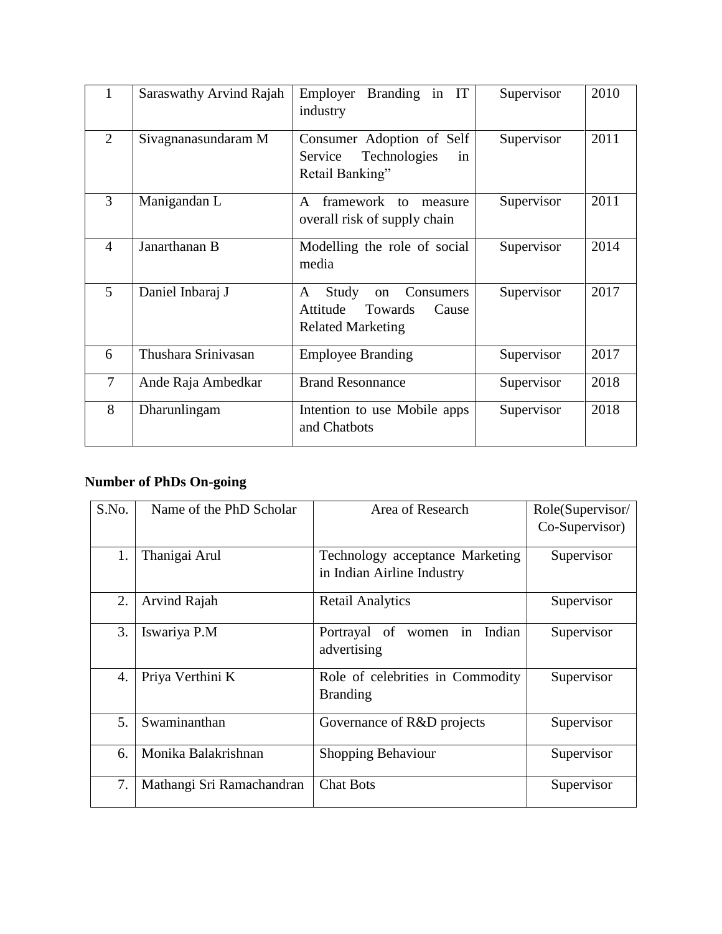| $\mathbf{1}$   | Saraswathy Arvind Rajah | Branding in IT<br>Employer<br>industry                                                    | Supervisor | 2010 |
|----------------|-------------------------|-------------------------------------------------------------------------------------------|------------|------|
| $\overline{2}$ | Sivagnanasundaram M     | Consumer Adoption of Self<br>Service<br>Technologies<br>in<br>Retail Banking"             | Supervisor | 2011 |
| 3              | Manigandan L            | framework<br>A<br>to<br>measure<br>overall risk of supply chain                           | Supervisor | 2011 |
| $\overline{4}$ | Janarthanan B           | Modelling the role of social<br>media                                                     | Supervisor | 2014 |
| 5              | Daniel Inbaraj J        | Study<br>A<br>Consumers<br>on<br>Attitude<br>Towards<br>Cause<br><b>Related Marketing</b> | Supervisor | 2017 |
| 6              | Thushara Srinivasan     | <b>Employee Branding</b>                                                                  | Supervisor | 2017 |
| $\overline{7}$ | Ande Raja Ambedkar      | <b>Brand Resonnance</b>                                                                   | Supervisor | 2018 |
| 8              | Dharunlingam            | Intention to use Mobile apps<br>and Chatbots                                              | Supervisor | 2018 |

# **Number of PhDs On-going**

| S.No. | Name of the PhD Scholar   | Area of Research                                              | Role(Supervisor/<br>Co-Supervisor) |
|-------|---------------------------|---------------------------------------------------------------|------------------------------------|
| 1.    | Thanigai Arul             | Technology acceptance Marketing<br>in Indian Airline Industry | Supervisor                         |
| 2.    | Arvind Rajah              | <b>Retail Analytics</b>                                       | Supervisor                         |
| 3.    | Iswariya P.M              | women in Indian<br>Portrayal of<br>advertising                | Supervisor                         |
| 4.    | Priya Verthini K          | Role of celebrities in Commodity<br><b>Branding</b>           | Supervisor                         |
| 5.    | Swaminanthan              | Governance of R&D projects                                    | Supervisor                         |
| 6.    | Monika Balakrishnan       | <b>Shopping Behaviour</b>                                     | Supervisor                         |
| 7.    | Mathangi Sri Ramachandran | <b>Chat Bots</b>                                              | Supervisor                         |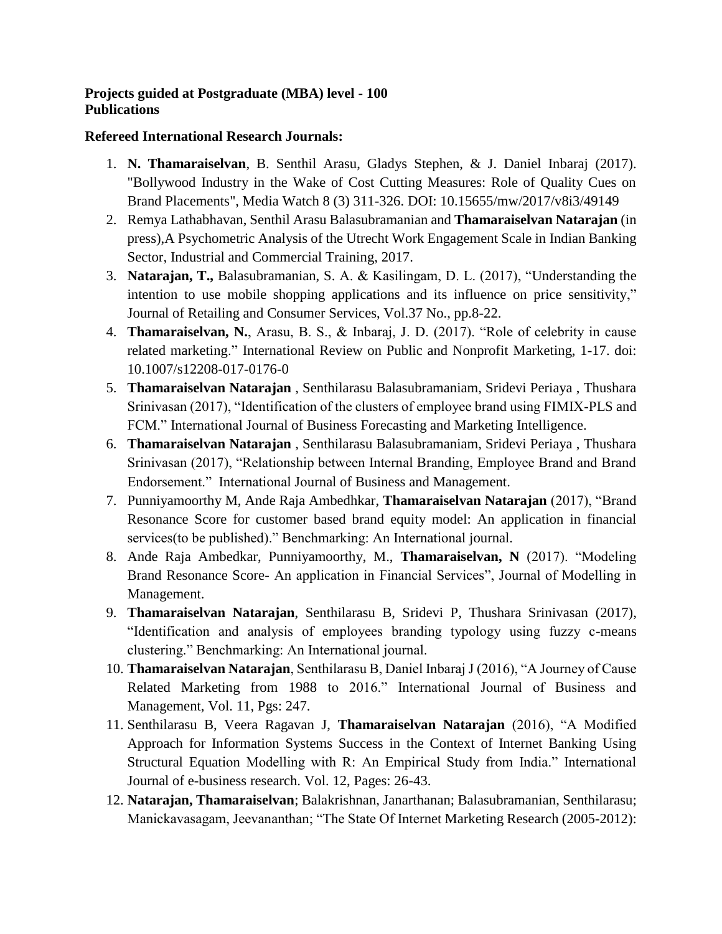#### **Projects guided at Postgraduate (MBA) level - 100 Publications**

#### **Refereed International Research Journals:**

- 1. **N. Thamaraiselvan**, B. Senthil Arasu, Gladys Stephen, & J. Daniel Inbaraj (2017). "Bollywood Industry in the Wake of Cost Cutting Measures: Role of Quality Cues on Brand Placements", Media Watch 8 (3) 311-326. DOI: 10.15655/mw/2017/v8i3/49149
- 2. Remya Lathabhavan, Senthil Arasu Balasubramanian and **Thamaraiselvan Natarajan** (in press),A Psychometric Analysis of the Utrecht Work Engagement Scale in Indian Banking Sector, Industrial and Commercial Training, 2017.
- 3. **Natarajan, T.,** Balasubramanian, S. A. & Kasilingam, D. L. (2017), "Understanding the intention to use mobile shopping applications and its influence on price sensitivity," Journal of Retailing and Consumer Services, Vol.37 No., pp.8-22.
- 4. **Thamaraiselvan, N.**, Arasu, B. S., & Inbaraj, J. D. (2017). "Role of celebrity in cause related marketing." International Review on Public and Nonprofit Marketing, 1-17. doi: 10.1007/s12208-017-0176-0
- 5. **Thamaraiselvan Natarajan** , Senthilarasu Balasubramaniam, Sridevi Periaya , Thushara Srinivasan (2017), "Identification of the clusters of employee brand using FIMIX-PLS and FCM." International Journal of Business Forecasting and Marketing Intelligence.
- 6. **Thamaraiselvan Natarajan** , Senthilarasu Balasubramaniam, Sridevi Periaya , Thushara Srinivasan (2017), "Relationship between Internal Branding, Employee Brand and Brand Endorsement." International Journal of Business and Management.
- 7. Punniyamoorthy M, Ande Raja Ambedhkar, **Thamaraiselvan Natarajan** (2017), "Brand Resonance Score for customer based brand equity model: An application in financial services(to be published)." Benchmarking: An International journal.
- 8. Ande Raja Ambedkar, Punniyamoorthy, M., **Thamaraiselvan, N** (2017). "Modeling Brand Resonance Score- An application in Financial Services", Journal of Modelling in Management.
- 9. **Thamaraiselvan Natarajan**, Senthilarasu B, Sridevi P, Thushara Srinivasan (2017), "Identification and analysis of employees branding typology using fuzzy c-means clustering." Benchmarking: An International journal.
- 10. **Thamaraiselvan Natarajan**, Senthilarasu B, Daniel Inbaraj J (2016), "A Journey of Cause Related Marketing from 1988 to 2016." International Journal of Business and Management, Vol. 11, Pgs: 247.
- 11. Senthilarasu B, Veera Ragavan J, **Thamaraiselvan Natarajan** (2016), "A Modified Approach for Information Systems Success in the Context of Internet Banking Using Structural Equation Modelling with R: An Empirical Study from India." International Journal of e-business research. Vol. 12, Pages: 26-43.
- 12. **Natarajan, Thamaraiselvan**; Balakrishnan, Janarthanan; Balasubramanian, Senthilarasu; Manickavasagam, Jeevananthan; "The State Of Internet Marketing Research (2005-2012):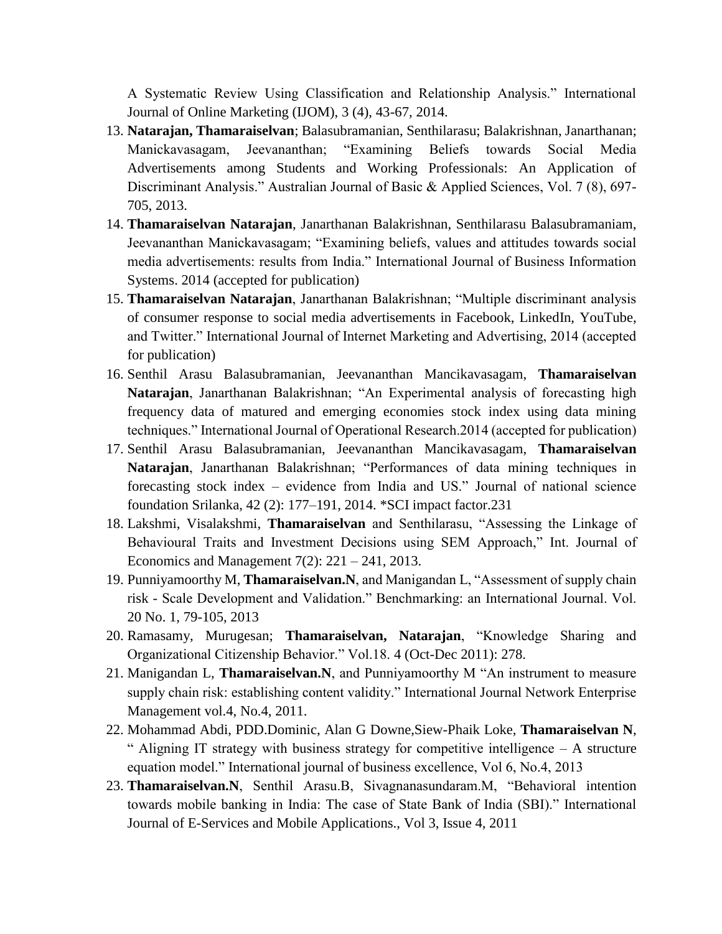A Systematic Review Using Classification and Relationship Analysis." International Journal of Online Marketing (IJOM), 3 (4), 43-67, 2014.

- 13. **Natarajan, Thamaraiselvan**; Balasubramanian, Senthilarasu; Balakrishnan, Janarthanan; Manickavasagam, Jeevananthan; "Examining Beliefs towards Social Media Advertisements among Students and Working Professionals: An Application of Discriminant Analysis." Australian Journal of Basic & Applied Sciences, Vol. 7 (8), 697- 705, 2013.
- 14. **Thamaraiselvan Natarajan**, Janarthanan Balakrishnan, Senthilarasu Balasubramaniam, Jeevananthan Manickavasagam; "Examining beliefs, values and attitudes towards social media advertisements: results from India." International Journal of Business Information Systems. 2014 (accepted for publication)
- 15. **Thamaraiselvan Natarajan**, Janarthanan Balakrishnan; "Multiple discriminant analysis of consumer response to social media advertisements in Facebook, LinkedIn, YouTube, and Twitter." International Journal of Internet Marketing and Advertising, 2014 (accepted for publication)
- 16. Senthil Arasu Balasubramanian, Jeevananthan Mancikavasagam, **Thamaraiselvan Natarajan**, Janarthanan Balakrishnan; "An Experimental analysis of forecasting high frequency data of matured and emerging economies stock index using data mining techniques." International Journal of Operational Research.2014 (accepted for publication)
- 17. Senthil Arasu Balasubramanian, Jeevananthan Mancikavasagam, **Thamaraiselvan Natarajan**, Janarthanan Balakrishnan; "Performances of data mining techniques in forecasting stock index – evidence from India and US." Journal of national science foundation Srilanka, 42 (2): 177–191, 2014. \*SCI impact factor.231
- 18. Lakshmi, Visalakshmi, **Thamaraiselvan** and Senthilarasu, "Assessing the Linkage of Behavioural Traits and Investment Decisions using SEM Approach," Int. Journal of Economics and Management  $7(2)$ :  $221 - 241$ ,  $2013$ .
- 19. Punniyamoorthy M, **Thamaraiselvan.N**, and Manigandan L, "Assessment of supply chain risk - Scale Development and Validation." Benchmarking: an International Journal. Vol. 20 No. 1, 79-105, 2013
- 20. Ramasamy, Murugesan; **Thamaraiselvan, Natarajan**, "Knowledge Sharing and Organizational Citizenship Behavior." Vol.18. 4 (Oct-Dec 2011): 278.
- 21. Manigandan L, **Thamaraiselvan.N**, and Punniyamoorthy M "An instrument to measure supply chain risk: establishing content validity." International Journal Network Enterprise Management vol.4, No.4, 2011.
- 22. Mohammad Abdi, PDD.Dominic, Alan G Downe,Siew-Phaik Loke, **Thamaraiselvan N**, " Aligning IT strategy with business strategy for competitive intelligence – A structure equation model." International journal of business excellence, Vol 6, No.4, 2013
- 23. **Thamaraiselvan.N**, Senthil Arasu.B, Sivagnanasundaram.M, "Behavioral intention towards mobile banking in India: The case of State Bank of India (SBI)." International Journal of E-Services and Mobile Applications., Vol 3, Issue 4, 2011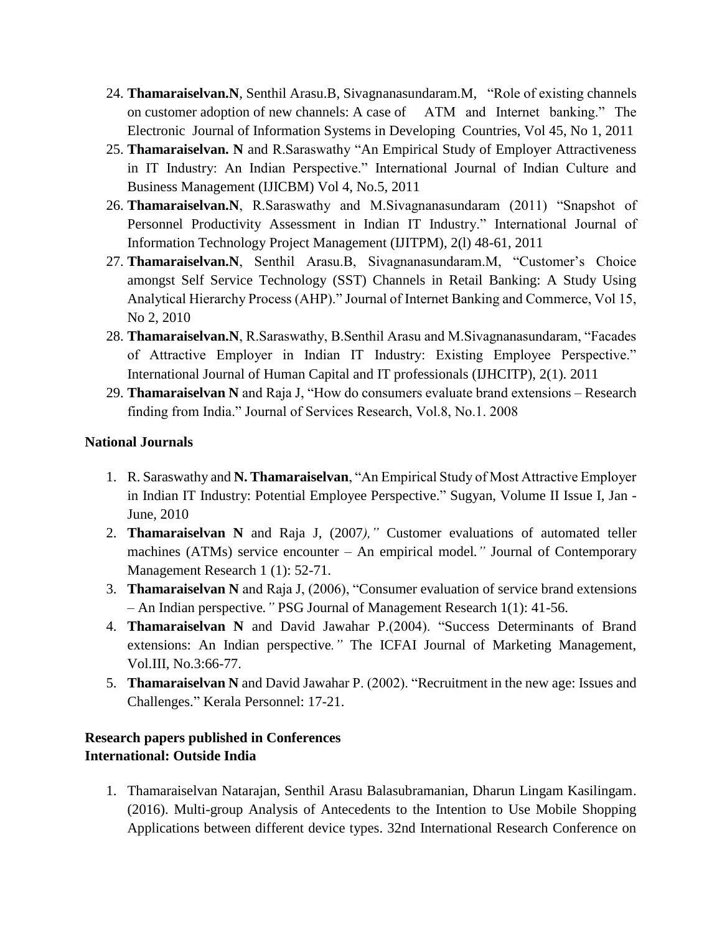- 24. **Thamaraiselvan.N**, Senthil Arasu.B, Sivagnanasundaram.M, "Role of existing channels on customer adoption of new channels: A case of ATM and Internet banking." The Electronic Journal of Information Systems in Developing Countries, Vol 45, No 1, 2011
- 25. **Thamaraiselvan. N** and R.Saraswathy "An Empirical Study of Employer Attractiveness in IT Industry: An Indian Perspective." International Journal of Indian Culture and Business Management (IJICBM) Vol 4, No.5, 2011
- 26. **Thamaraiselvan.N**, R.Saraswathy and M.Sivagnanasundaram (2011) "Snapshot of Personnel Productivity Assessment in Indian IT Industry." International Journal of Information Technology Project Management (IJITPM), 2(l) 48-61, 2011
- 27. **Thamaraiselvan.N**, Senthil Arasu.B, Sivagnanasundaram.M, "Customer's Choice amongst Self Service Technology (SST) Channels in Retail Banking: A Study Using Analytical Hierarchy Process (AHP)." Journal of Internet Banking and Commerce, Vol 15, No 2, 2010
- 28. **Thamaraiselvan.N**, R.Saraswathy, B.Senthil Arasu and M.Sivagnanasundaram, "Facades of Attractive Employer in Indian IT Industry: Existing Employee Perspective." International Journal of Human Capital and IT professionals (IJHCITP), 2(1). 2011
- 29. **Thamaraiselvan N** and Raja J, "How do consumers evaluate brand extensions Research finding from India." Journal of Services Research, Vol.8, No.1. 2008

#### **National Journals**

- 1. R. Saraswathy and **N. Thamaraiselvan**, "An Empirical Study of Most Attractive Employer in Indian IT Industry: Potential Employee Perspective." Sugyan, Volume II Issue I, Jan - June, 2010
- 2. **Thamaraiselvan N** and Raja J, (2007*),"* Customer evaluations of automated teller machines (ATMs) service encounter – An empirical model*."* Journal of Contemporary Management Research 1 (1): 52-71.
- 3. **Thamaraiselvan N** and Raja J, (2006), "Consumer evaluation of service brand extensions – An Indian perspective*."* PSG Journal of Management Research 1(1): 41-56.
- 4. **Thamaraiselvan N** and David Jawahar P.(2004). "Success Determinants of Brand extensions: An Indian perspective*."* The ICFAI Journal of Marketing Management, Vol.III, No.3:66-77.
- 5. **Thamaraiselvan N** and David Jawahar P. (2002). "Recruitment in the new age: Issues and Challenges." Kerala Personnel: 17-21.

### **Research papers published in Conferences International: Outside India**

1. Thamaraiselvan Natarajan, Senthil Arasu Balasubramanian, Dharun Lingam Kasilingam. (2016). Multi-group Analysis of Antecedents to the Intention to Use Mobile Shopping Applications between different device types. 32nd International Research Conference on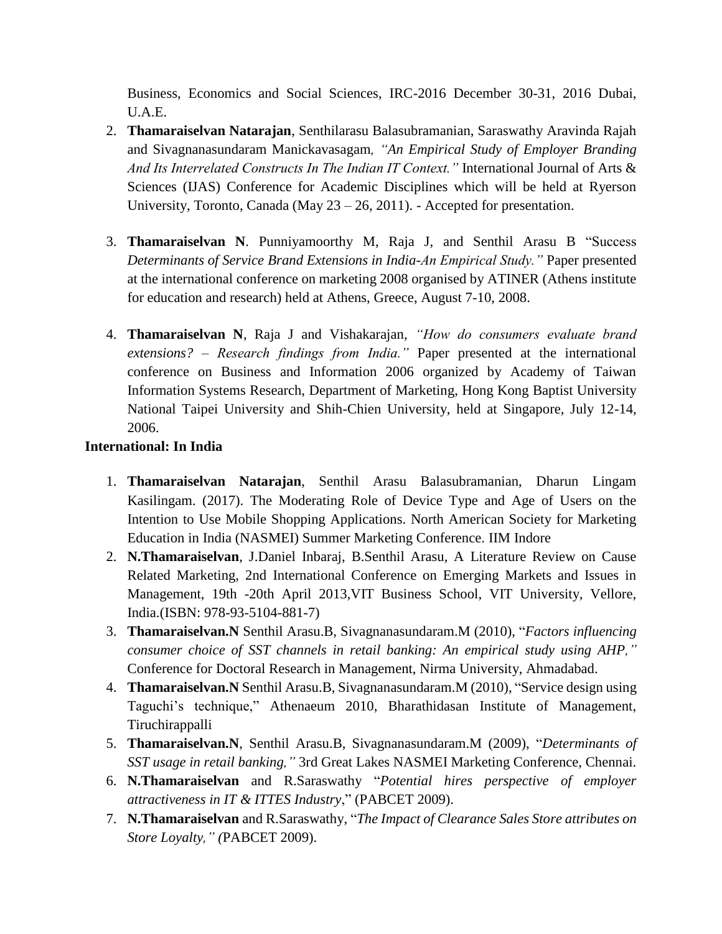Business, Economics and Social Sciences, IRC-2016 December 30-31, 2016 Dubai, U.A.E.

- 2. **Thamaraiselvan Natarajan**, Senthilarasu Balasubramanian, Saraswathy Aravinda Rajah and Sivagnanasundaram Manickavasagam*, "An Empirical Study of Employer Branding And Its Interrelated Constructs In The Indian IT Context."* International Journal of Arts & Sciences (IJAS) Conference for Academic Disciplines which will be held at Ryerson University, Toronto, Canada (May  $23 - 26$ , 2011). - Accepted for presentation.
- 3. **Thamaraiselvan N**. Punniyamoorthy M, Raja J, and Senthil Arasu B "Success *Determinants of Service Brand Extensions in India-An Empirical Study."* Paper presented at the international conference on marketing 2008 organised by ATINER (Athens institute for education and research) held at Athens, Greece, August 7-10, 2008.
- 4. **Thamaraiselvan N**, Raja J and Vishakarajan, *"How do consumers evaluate brand extensions? – Research findings from India."* Paper presented at the international conference on Business and Information 2006 organized by Academy of Taiwan Information Systems Research, Department of Marketing, Hong Kong Baptist University National Taipei University and Shih-Chien University, held at Singapore, July 12-14, 2006.

#### **International: In India**

- 1. **Thamaraiselvan Natarajan**, Senthil Arasu Balasubramanian, Dharun Lingam Kasilingam. (2017). The Moderating Role of Device Type and Age of Users on the Intention to Use Mobile Shopping Applications. North American Society for Marketing Education in India (NASMEI) Summer Marketing Conference. IIM Indore
- 2. **N.Thamaraiselvan**, J.Daniel Inbaraj, B.Senthil Arasu, A Literature Review on Cause Related Marketing, 2nd International Conference on Emerging Markets and Issues in Management, 19th -20th April 2013,VIT Business School, VIT University, Vellore, India.(ISBN: 978-93-5104-881-7)
- 3. **Thamaraiselvan.N** Senthil Arasu.B, Sivagnanasundaram.M (2010), "*Factors influencing consumer choice of SST channels in retail banking: An empirical study using AHP,"* Conference for Doctoral Research in Management, Nirma University, Ahmadabad.
- 4. **Thamaraiselvan.N** Senthil Arasu.B, Sivagnanasundaram.M (2010), "Service design using Taguchi's technique," Athenaeum 2010, Bharathidasan Institute of Management, Tiruchirappalli
- 5. **Thamaraiselvan.N**, Senthil Arasu.B, Sivagnanasundaram.M (2009), "*Determinants of SST usage in retail banking,"* 3rd Great Lakes NASMEI Marketing Conference, Chennai.
- 6. **N.Thamaraiselvan** and R.Saraswathy "*Potential hires perspective of employer attractiveness in IT & ITTES Industry*," (PABCET 2009).
- 7. **N.Thamaraiselvan** and R.Saraswathy, "*The Impact of Clearance Sales Store attributes on Store Loyalty," (*PABCET 2009).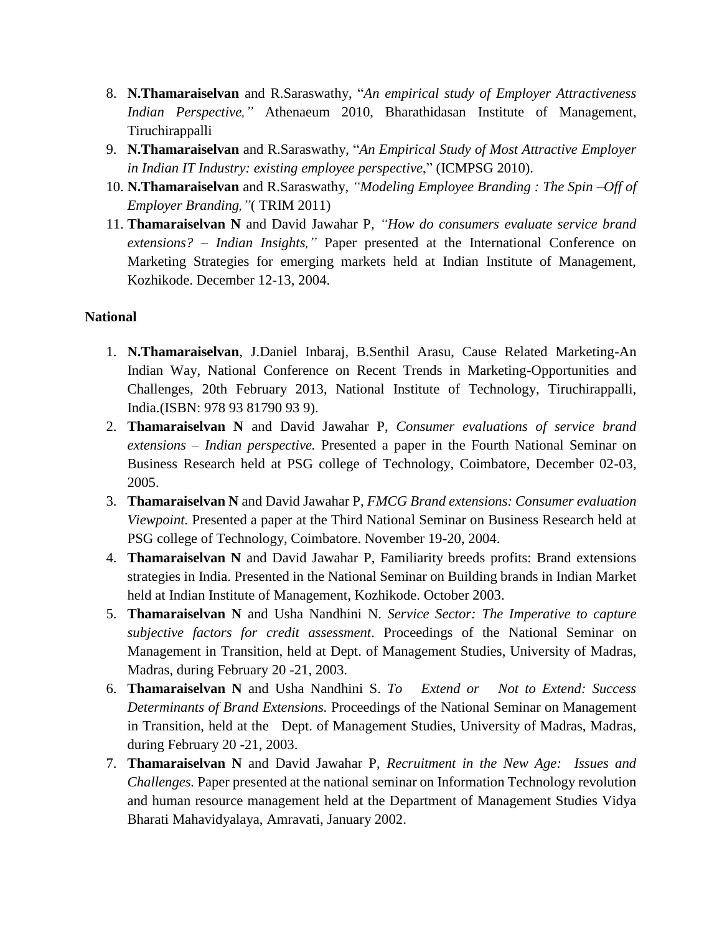- 8. **N.Thamaraiselvan** and R.Saraswathy, "*An empirical study of Employer Attractiveness Indian Perspective,"* Athenaeum 2010, Bharathidasan Institute of Management, Tiruchirappalli
- 9. **N.Thamaraiselvan** and R.Saraswathy, "*An Empirical Study of Most Attractive Employer in Indian IT Industry: existing employee perspective*," (ICMPSG 2010).
- 10. **N.Thamaraiselvan** and R.Saraswathy, *"Modeling Employee Branding : The Spin –Off of Employer Branding,"*( TRIM 2011)
- 11. **Thamaraiselvan N** and David Jawahar P*, "How do consumers evaluate service brand extensions? – Indian Insights,"* Paper presented at the International Conference on Marketing Strategies for emerging markets held at Indian Institute of Management, Kozhikode. December 12-13, 2004.

#### **National**

- 1. **N.Thamaraiselvan**, J.Daniel Inbaraj, B.Senthil Arasu, Cause Related Marketing-An Indian Way, National Conference on Recent Trends in Marketing-Opportunities and Challenges, 20th February 2013, National Institute of Technology, Tiruchirappalli, India.(ISBN: 978 93 81790 93 9).
- 2. **Thamaraiselvan N** and David Jawahar P, *Consumer evaluations of service brand extensions – Indian perspective.* Presented a paper in the Fourth National Seminar on Business Research held at PSG college of Technology, Coimbatore, December 02-03, 2005.
- 3. **Thamaraiselvan N** and David Jawahar P, *FMCG Brand extensions: Consumer evaluation Viewpoint.* Presented a paper at the Third National Seminar on Business Research held at PSG college of Technology, Coimbatore. November 19-20, 2004.
- 4. **Thamaraiselvan N** and David Jawahar P, Familiarity breeds profits: Brand extensions strategies in India. Presented in the National Seminar on Building brands in Indian Market held at Indian Institute of Management, Kozhikode. October 2003.
- 5. **Thamaraiselvan N** and Usha Nandhini N. *Service Sector: The Imperative to capture subjective factors for credit assessment*. Proceedings of the National Seminar on Management in Transition, held at Dept. of Management Studies, University of Madras, Madras, during February 20 -21, 2003.
- 6. **Thamaraiselvan N** and Usha Nandhini S. *To Extend or Not to Extend: Success Determinants of Brand Extensions.* Proceedings of the National Seminar on Management in Transition, held at the Dept. of Management Studies, University of Madras, Madras, during February 20 -21, 2003.
- 7. **Thamaraiselvan N** and David Jawahar P, *Recruitment in the New Age: Issues and Challenges.* Paper presented at the national seminar on Information Technology revolution and human resource management held at the Department of Management Studies Vidya Bharati Mahavidyalaya, Amravati, January 2002.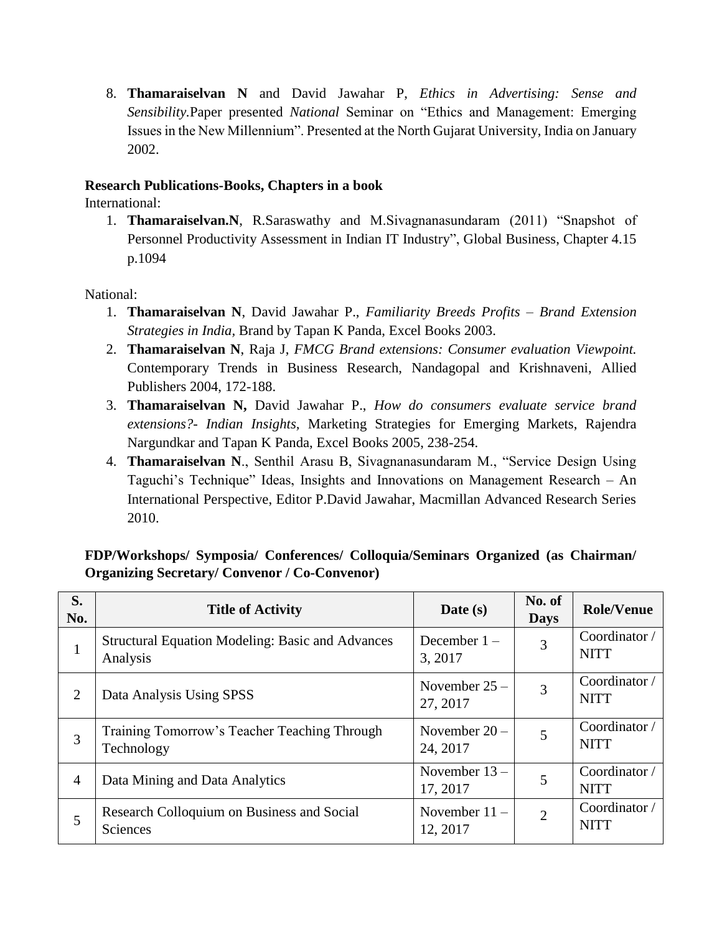8. **Thamaraiselvan N** and David Jawahar P, *Ethics in Advertising: Sense and Sensibility.*Paper presented *National* Seminar on "Ethics and Management: Emerging Issues in the New Millennium". Presented at the North Gujarat University, India on January 2002.

#### **Research Publications-Books, Chapters in a book**

International:

1. **Thamaraiselvan.N**, R.Saraswathy and M.Sivagnanasundaram (2011) "Snapshot of Personnel Productivity Assessment in Indian IT Industry", Global Business, Chapter 4.15 p.1094

National:

- 1. **Thamaraiselvan N**, David Jawahar P., *Familiarity Breeds Profits – Brand Extension Strategies in India,* Brand by Tapan K Panda, Excel Books 2003.
- 2. **Thamaraiselvan N**, Raja J, *FMCG Brand extensions: Consumer evaluation Viewpoint.* Contemporary Trends in Business Research, Nandagopal and Krishnaveni, Allied Publishers 2004, 172-188.
- 3. **Thamaraiselvan N,** David Jawahar P., *How do consumers evaluate service brand extensions?- Indian Insights,* Marketing Strategies for Emerging Markets, Rajendra Nargundkar and Tapan K Panda, Excel Books 2005, 238-254.
- 4. **Thamaraiselvan N**., Senthil Arasu B, Sivagnanasundaram M., "Service Design Using Taguchi's Technique" Ideas, Insights and Innovations on Management Research – An International Perspective, Editor P.David Jawahar, Macmillan Advanced Research Series 2010.

| S.<br>No.      | <b>Title of Activity</b>                                            | Date $(s)$                  | No. of<br><b>Days</b> | <b>Role/Venue</b>            |
|----------------|---------------------------------------------------------------------|-----------------------------|-----------------------|------------------------------|
|                | <b>Structural Equation Modeling: Basic and Advances</b><br>Analysis | December $1 -$<br>3, 2017   | 3                     | Coordinator /<br><b>NITT</b> |
| 2              | Data Analysis Using SPSS                                            | November $25 -$<br>27, 2017 | 3                     | Coordinator /<br><b>NITT</b> |
| 3              | Training Tomorrow's Teacher Teaching Through<br>Technology          | November $20 -$<br>24, 2017 | 5                     | Coordinator /<br><b>NITT</b> |
| $\overline{4}$ | Data Mining and Data Analytics                                      | November $13 -$<br>17, 2017 | 5                     | Coordinator /<br><b>NITT</b> |
| 5              | Research Colloquium on Business and Social<br>Sciences              | November $11 -$<br>12, 2017 | $\overline{2}$        | Coordinator /<br><b>NITT</b> |

### **FDP/Workshops/ Symposia/ Conferences/ Colloquia/Seminars Organized (as Chairman/ Organizing Secretary/ Convenor / Co-Convenor)**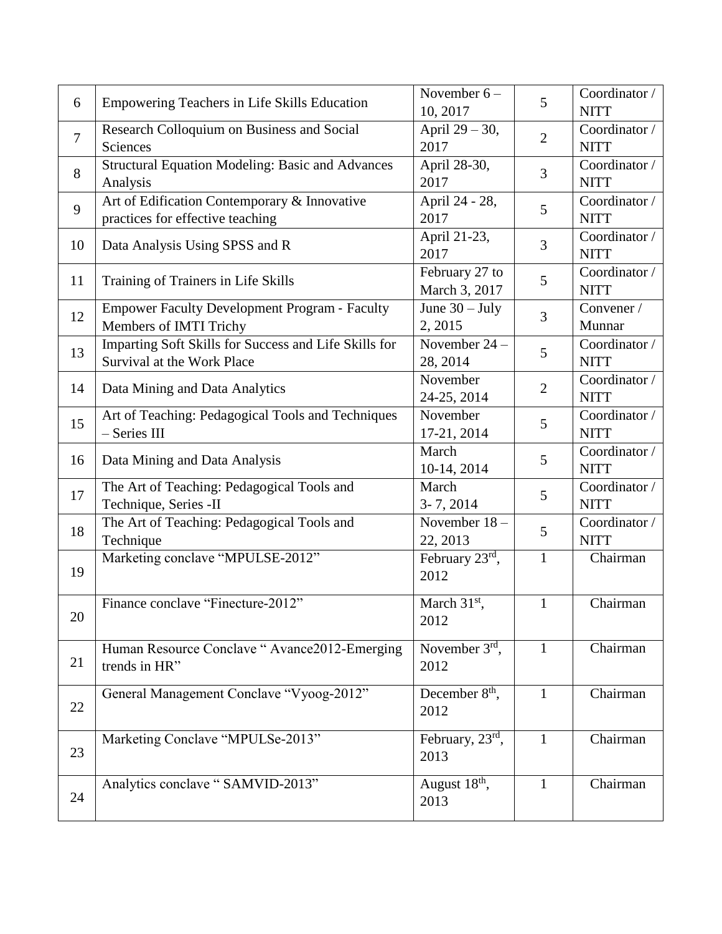| 6              | Empowering Teachers in Life Skills Education                                        | November $6-$<br>10, 2017              | 5              | Coordinator /<br><b>NITT</b> |
|----------------|-------------------------------------------------------------------------------------|----------------------------------------|----------------|------------------------------|
| $\overline{7}$ | Research Colloquium on Business and Social<br>Sciences                              | April $29 - 30$ ,<br>2017              | $\overline{2}$ | Coordinator /<br><b>NITT</b> |
| 8              | <b>Structural Equation Modeling: Basic and Advances</b><br>Analysis                 | April 28-30,<br>2017                   | 3              | Coordinator /<br><b>NITT</b> |
| 9              | Art of Edification Contemporary & Innovative<br>practices for effective teaching    | April 24 - 28,<br>2017                 | 5              | Coordinator /<br><b>NITT</b> |
| 10             | Data Analysis Using SPSS and R                                                      | April 21-23,<br>2017                   | 3              | Coordinator /<br><b>NITT</b> |
| 11             | Training of Trainers in Life Skills                                                 | February 27 to<br>March 3, 2017        | 5              | Coordinator /<br><b>NITT</b> |
| 12             | <b>Empower Faculty Development Program - Faculty</b><br>Members of IMTI Trichy      | June $30 -$ July<br>2, 2015            | 3              | Convener /<br>Munnar         |
| 13             | Imparting Soft Skills for Success and Life Skills for<br>Survival at the Work Place | November $24 -$<br>28, 2014            | 5              | Coordinator /<br><b>NITT</b> |
| 14             | Data Mining and Data Analytics                                                      | November<br>24-25, 2014                | $\overline{2}$ | Coordinator /<br><b>NITT</b> |
| 15             | Art of Teaching: Pedagogical Tools and Techniques<br>- Series III                   | November<br>17-21, 2014                | 5              | Coordinator /<br><b>NITT</b> |
| 16             | Data Mining and Data Analysis                                                       | March<br>10-14, 2014                   | 5              | Coordinator /<br><b>NITT</b> |
| 17             | The Art of Teaching: Pedagogical Tools and<br>Technique, Series -II                 | March<br>$3 - 7, 2014$                 | 5              | Coordinator /<br><b>NITT</b> |
| 18             | The Art of Teaching: Pedagogical Tools and<br>Technique                             | November 18-<br>22, 2013               | 5              | Coordinator /<br><b>NITT</b> |
| 19             | Marketing conclave "MPULSE-2012"                                                    | February 23rd,<br>2012                 | $\mathbf{1}$   | Chairman                     |
| 20             | Finance conclave "Finecture-2012"                                                   | March $31st$ ,<br>2012                 | $\mathbf{1}$   | Chairman                     |
| 21             | Human Resource Conclave " Avance2012-Emerging<br>trends in HR"                      | November $3^{\overline{rd}}$ ,<br>2012 | 1              | Chairman                     |
| 22             | General Management Conclave "Vyoog-2012"                                            | December 8 <sup>th</sup> ,<br>2012     | $\mathbf{1}$   | Chairman                     |
| 23             | Marketing Conclave "MPULSe-2013"                                                    | February, 23rd,<br>2013                | $\mathbf{1}$   | Chairman                     |
| 24             | Analytics conclave "SAMVID-2013"                                                    | August $18^{\text{th}}$ ,<br>2013      | $\mathbf{1}$   | Chairman                     |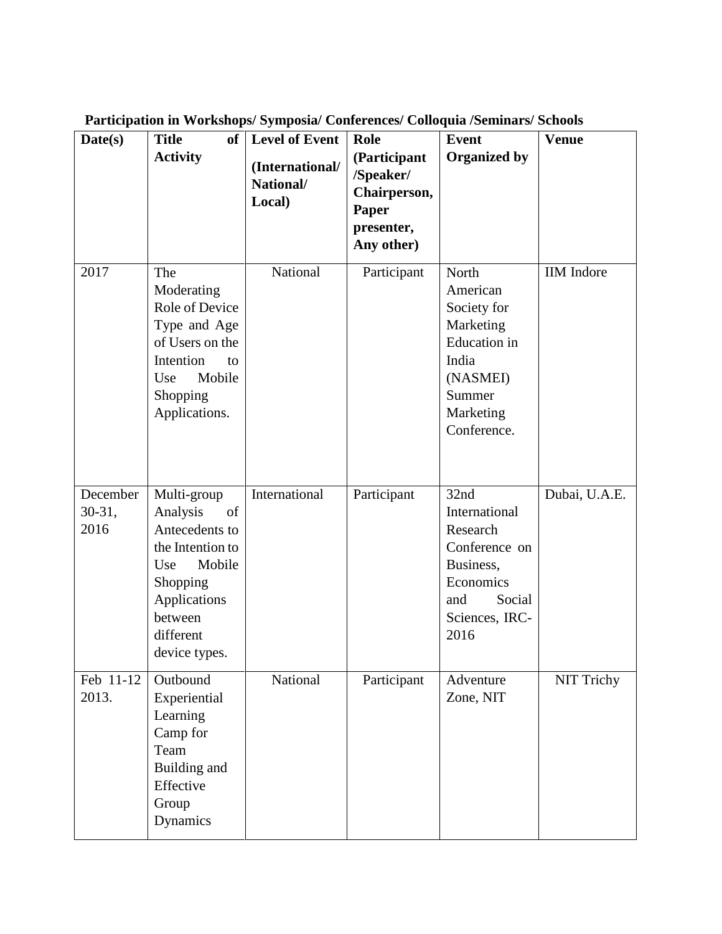| Date(s)<br>$201\overline{7}$           | <b>Title</b><br>of <sub>1</sub><br><b>Activity</b><br>The                                                                                                 | <b>Level of Event</b><br>(International/<br>National/<br>Local)<br>National | <b>Role</b><br>(Participant<br>/Speaker/<br>Chairperson,<br>Paper<br>presenter,<br>Any other) | <b>Event</b><br><b>Organized by</b><br>North                                                                            | <b>Venue</b><br><b>IIM</b> Indore |
|----------------------------------------|-----------------------------------------------------------------------------------------------------------------------------------------------------------|-----------------------------------------------------------------------------|-----------------------------------------------------------------------------------------------|-------------------------------------------------------------------------------------------------------------------------|-----------------------------------|
|                                        | Moderating<br>Role of Device<br>Type and Age<br>of Users on the<br>Intention<br>to<br>Mobile<br>Use<br>Shopping<br>Applications.                          |                                                                             | Participant                                                                                   | American<br>Society for<br>Marketing<br><b>Education</b> in<br>India<br>(NASMEI)<br>Summer<br>Marketing<br>Conference.  |                                   |
| December<br>$30-31,$<br>2016           | Multi-group<br>Analysis<br>of<br>Antecedents to<br>the Intention to<br>Mobile<br>Use<br>Shopping<br>Applications<br>between<br>different<br>device types. | International                                                               | Participant                                                                                   | 32nd<br>International<br>Research<br>Conference on<br>Business,<br>Economics<br>Social<br>and<br>Sciences, IRC-<br>2016 | Dubai, U.A.E.                     |
| $\overline{\text{Feb}}$ 11-12<br>2013. | Outbound<br>Experiential<br>Learning<br>Camp for<br>Team<br>Building and<br>Effective<br>Group<br>Dynamics                                                | National                                                                    | Participant                                                                                   | Adventure<br>Zone, NIT                                                                                                  | NIT Trichy                        |

**Participation in Workshops/ Symposia/ Conferences/ Colloquia /Seminars/ Schools**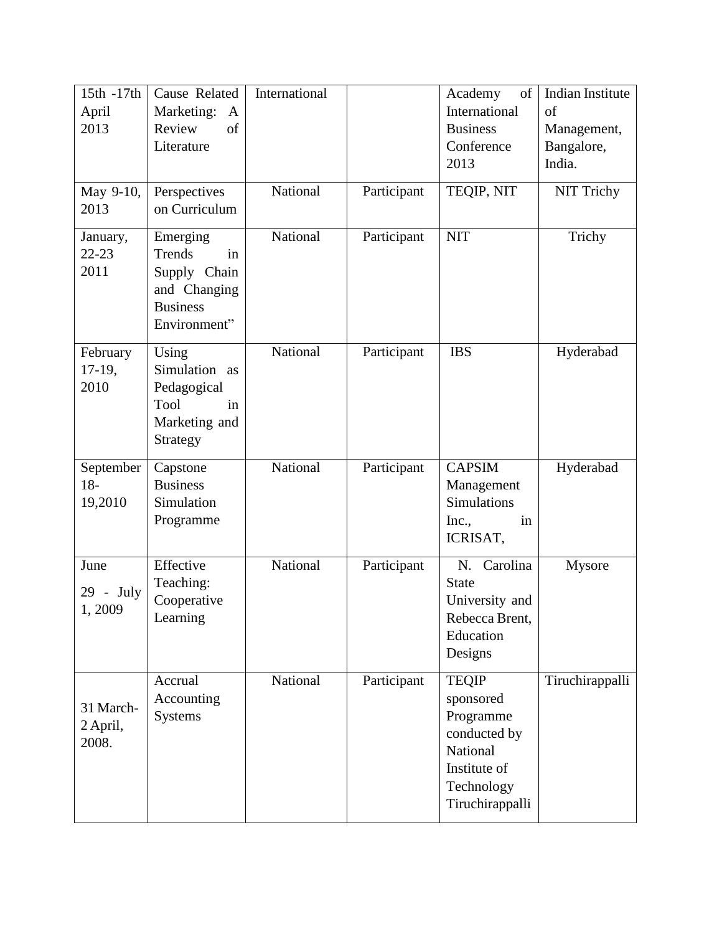| 15th -17th            | Cause Related          | International |             | Academy<br>of                 | <b>Indian Institute</b> |
|-----------------------|------------------------|---------------|-------------|-------------------------------|-------------------------|
| April                 | Marketing:<br>A        |               |             | International                 | of                      |
| 2013                  | Review<br>of           |               |             | <b>Business</b>               | Management,             |
|                       | Literature             |               |             | Conference                    | Bangalore,              |
|                       |                        |               |             | 2013                          | India.                  |
|                       |                        |               |             |                               |                         |
| May 9-10,             | Perspectives           | National      | Participant | TEQIP, NIT                    | <b>NIT Trichy</b>       |
| 2013                  | on Curriculum          |               |             |                               |                         |
| January,              | Emerging               | National      | Participant | <b>NIT</b>                    | Trichy                  |
| $22 - 23$             | Trends<br>in           |               |             |                               |                         |
| 2011                  | Supply Chain           |               |             |                               |                         |
|                       | and Changing           |               |             |                               |                         |
|                       | <b>Business</b>        |               |             |                               |                         |
|                       | Environment"           |               |             |                               |                         |
|                       |                        | National      |             | <b>IBS</b>                    |                         |
| February<br>$17-19$ , | Using<br>Simulation as |               | Participant |                               | Hyderabad               |
| 2010                  | Pedagogical            |               |             |                               |                         |
|                       | Tool<br>in             |               |             |                               |                         |
|                       | Marketing and          |               |             |                               |                         |
|                       | Strategy               |               |             |                               |                         |
|                       |                        |               |             |                               |                         |
| September             | Capstone               | National      | Participant | <b>CAPSIM</b>                 | Hyderabad               |
| $18-$                 | <b>Business</b>        |               |             | Management                    |                         |
| 19,2010               | Simulation             |               |             | <b>Simulations</b>            |                         |
|                       | Programme              |               |             | Inc.,<br>in                   |                         |
|                       |                        |               |             | ICRISAT,                      |                         |
| June                  | Effective              | National      | Participant | Carolina<br>N.                | Mysore                  |
|                       | Teaching:              |               |             | State                         |                         |
| 29 -<br>July          | Cooperative            |               |             | University and                |                         |
| 1,2009                | Learning               |               |             | Rebecca Brent,                |                         |
|                       |                        |               |             | Education                     |                         |
|                       |                        |               |             | Designs                       |                         |
|                       | Accrual                | National      | Participant | <b>TEQIP</b>                  | Tiruchirappalli         |
|                       | Accounting             |               |             | sponsored                     |                         |
| 31 March-             | <b>Systems</b>         |               |             | Programme                     |                         |
| 2 April,              |                        |               |             | conducted by                  |                         |
| 2008.                 |                        |               |             | National                      |                         |
|                       |                        |               |             | Institute of                  |                         |
|                       |                        |               |             |                               |                         |
|                       |                        |               |             |                               |                         |
|                       |                        |               |             | Technology<br>Tiruchirappalli |                         |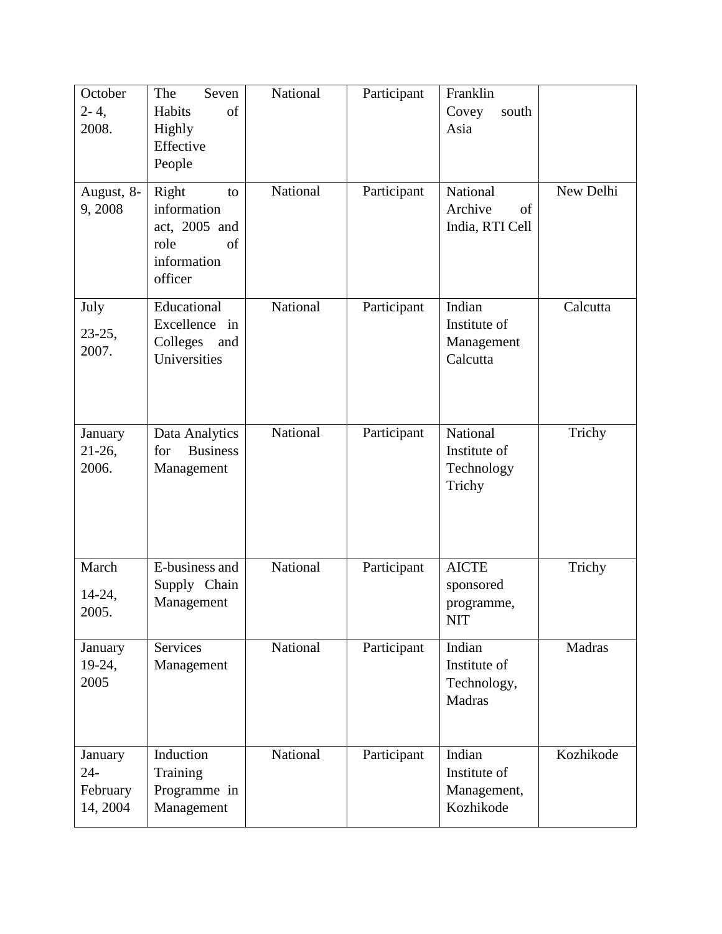| October<br>$2 - 4,$<br>2008.              | Seven<br>The<br>of<br>Habits<br>Highly<br>Effective<br>People                       | National | Participant | Franklin<br>Covey<br>south<br>Asia                    |           |
|-------------------------------------------|-------------------------------------------------------------------------------------|----------|-------------|-------------------------------------------------------|-----------|
| August, 8-<br>9,2008                      | Right<br>to<br>information<br>act, 2005 and<br>role<br>of<br>information<br>officer | National | Participant | National<br>Archive<br>of<br>India, RTI Cell          | New Delhi |
| July<br>$23-25,$<br>2007.                 | Educational<br>Excellence in<br>Colleges<br>and<br>Universities                     | National | Participant | Indian<br>Institute of<br>Management<br>Calcutta      | Calcutta  |
| January<br>$21-26,$<br>2006.              | Data Analytics<br><b>Business</b><br>for<br>Management                              | National | Participant | National<br>Institute of<br>Technology<br>Trichy      | Trichy    |
| March<br>$14-24$ ,<br>2005.               | E-business and<br>Supply Chain<br>Management                                        | National | Participant | <b>AICTE</b><br>sponsored<br>programme,<br><b>NIT</b> | Trichy    |
| January<br>$19-24,$<br>2005               | Services<br>Management                                                              | National | Participant | Indian<br>Institute of<br>Technology,<br>Madras       | Madras    |
| January<br>$24 -$<br>February<br>14, 2004 | Induction<br>Training<br>Programme in<br>Management                                 | National | Participant | Indian<br>Institute of<br>Management,<br>Kozhikode    | Kozhikode |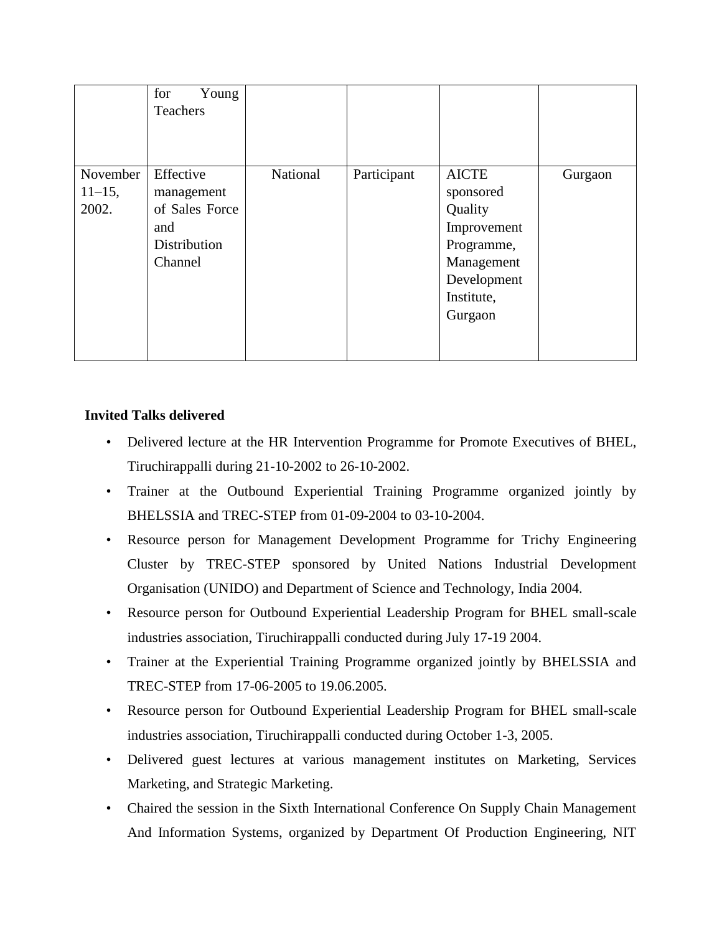|                                | for<br>Young<br>Teachers                                                    |          |             |                                                                                                                         |         |
|--------------------------------|-----------------------------------------------------------------------------|----------|-------------|-------------------------------------------------------------------------------------------------------------------------|---------|
| November<br>$11-15$ ,<br>2002. | Effective<br>management<br>of Sales Force<br>and<br>Distribution<br>Channel | National | Participant | <b>AICTE</b><br>sponsored<br>Quality<br>Improvement<br>Programme,<br>Management<br>Development<br>Institute,<br>Gurgaon | Gurgaon |

#### **Invited Talks delivered**

- Delivered lecture at the HR Intervention Programme for Promote Executives of BHEL, Tiruchirappalli during 21-10-2002 to 26-10-2002.
- Trainer at the Outbound Experiential Training Programme organized jointly by BHELSSIA and TREC-STEP from 01-09-2004 to 03-10-2004.
- Resource person for Management Development Programme for Trichy Engineering Cluster by TREC-STEP sponsored by United Nations Industrial Development Organisation (UNIDO) and Department of Science and Technology, India 2004.
- Resource person for Outbound Experiential Leadership Program for BHEL small-scale industries association, Tiruchirappalli conducted during July 17-19 2004.
- Trainer at the Experiential Training Programme organized jointly by BHELSSIA and TREC-STEP from 17-06-2005 to 19.06.2005.
- Resource person for Outbound Experiential Leadership Program for BHEL small-scale industries association, Tiruchirappalli conducted during October 1-3, 2005.
- Delivered guest lectures at various management institutes on Marketing, Services Marketing, and Strategic Marketing.
- Chaired the session in the Sixth International Conference On Supply Chain Management And Information Systems, organized by Department Of Production Engineering, NIT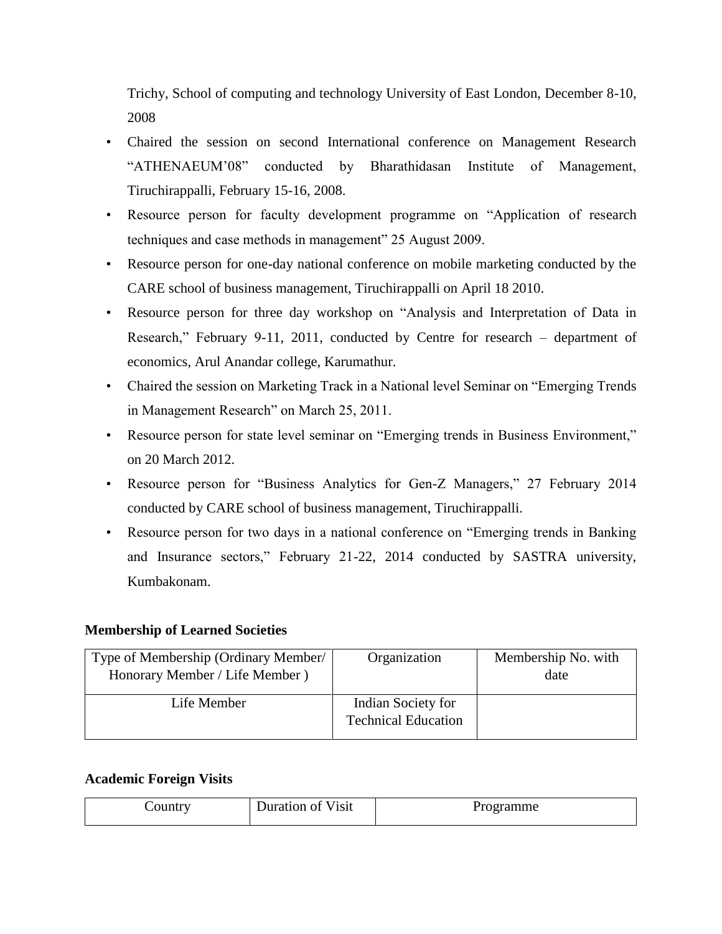Trichy, School of computing and technology University of East London, December 8-10, 2008

- Chaired the session on second International conference on Management Research "ATHENAEUM'08" conducted by Bharathidasan Institute of Management, Tiruchirappalli, February 15-16, 2008.
- Resource person for faculty development programme on "Application of research techniques and case methods in management" 25 August 2009.
- Resource person for one-day national conference on mobile marketing conducted by the CARE school of business management, Tiruchirappalli on April 18 2010.
- Resource person for three day workshop on "Analysis and Interpretation of Data in Research," February 9-11, 2011, conducted by Centre for research – department of economics, Arul Anandar college, Karumathur.
- Chaired the session on Marketing Track in a National level Seminar on "Emerging Trends in Management Research" on March 25, 2011.
- Resource person for state level seminar on "Emerging trends in Business Environment," on 20 March 2012.
- Resource person for "Business Analytics for Gen-Z Managers," 27 February 2014 conducted by CARE school of business management, Tiruchirappalli.
- Resource person for two days in a national conference on "Emerging trends in Banking and Insurance sectors," February 21-22, 2014 conducted by SASTRA university, Kumbakonam.

#### **Membership of Learned Societies**

| Type of Membership (Ordinary Member/ | Organization               | Membership No. with |
|--------------------------------------|----------------------------|---------------------|
| Honorary Member / Life Member )      |                            | date                |
|                                      |                            |                     |
| Life Member                          | Indian Society for         |                     |
|                                      | <b>Technical Education</b> |                     |
|                                      |                            |                     |

#### **Academic Foreign Visits**

| . | $\mathbf{v}$<br>√1S1t<br>Juration of<br>$\sim$<br>. | ogramme<br>$\ddot{\phantom{0}}$ |
|---|-----------------------------------------------------|---------------------------------|
|---|-----------------------------------------------------|---------------------------------|